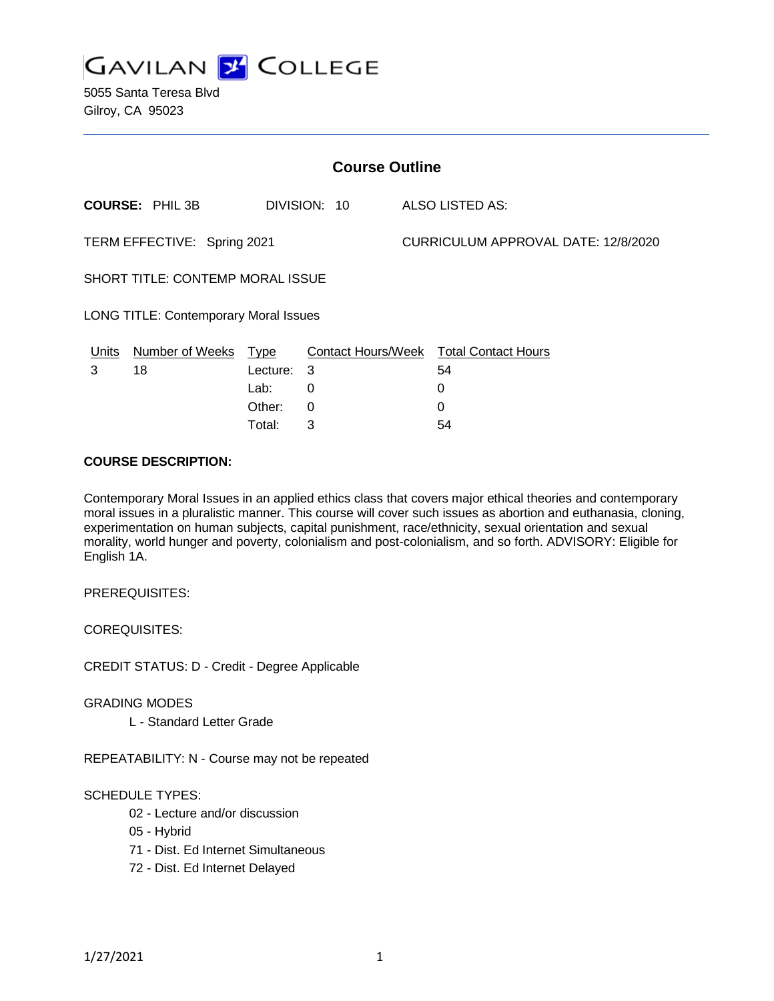

5055 Santa Teresa Blvd Gilroy, CA 95023

| <b>Course Outline</b>                        |                        |             |              |  |                                        |  |
|----------------------------------------------|------------------------|-------------|--------------|--|----------------------------------------|--|
|                                              | <b>COURSE: PHIL 3B</b> |             | DIVISION: 10 |  | <b>ALSO LISTED AS:</b>                 |  |
| TERM EFFECTIVE: Spring 2021                  |                        |             |              |  | CURRICULUM APPROVAL DATE: 12/8/2020    |  |
| <b>SHORT TITLE: CONTEMP MORAL ISSUE</b>      |                        |             |              |  |                                        |  |
| <b>LONG TITLE: Contemporary Moral Issues</b> |                        |             |              |  |                                        |  |
| Units                                        | <b>Number of Weeks</b> | <b>Type</b> |              |  | Contact Hours/Week Total Contact Hours |  |
| 3                                            | 18                     | Lecture: 3  |              |  | 54                                     |  |
|                                              |                        | Lab:        | 0            |  | 0                                      |  |
|                                              |                        | Other:      | 0            |  | 0                                      |  |

Total: 3 54

#### **COURSE DESCRIPTION:**

Contemporary Moral Issues in an applied ethics class that covers major ethical theories and contemporary moral issues in a pluralistic manner. This course will cover such issues as abortion and euthanasia, cloning, experimentation on human subjects, capital punishment, race/ethnicity, sexual orientation and sexual morality, world hunger and poverty, colonialism and post-colonialism, and so forth. ADVISORY: Eligible for English 1A.

PREREQUISITES:

COREQUISITES:

CREDIT STATUS: D - Credit - Degree Applicable

GRADING MODES

L - Standard Letter Grade

REPEATABILITY: N - Course may not be repeated

## SCHEDULE TYPES:

- 02 Lecture and/or discussion
- 05 Hybrid

71 - Dist. Ed Internet Simultaneous

72 - Dist. Ed Internet Delayed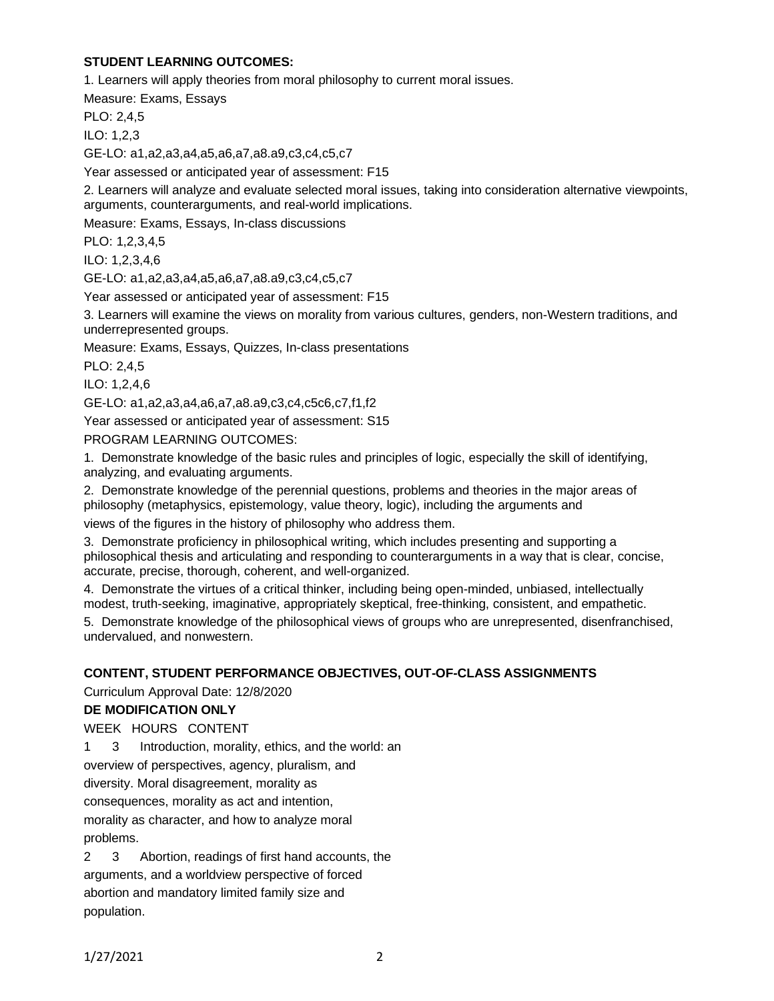# **STUDENT LEARNING OUTCOMES:**

1. Learners will apply theories from moral philosophy to current moral issues.

Measure: Exams, Essays

PLO: 2,4,5

ILO: 1,2,3

GE-LO: a1,a2,a3,a4,a5,a6,a7,a8.a9,c3,c4,c5,c7

Year assessed or anticipated year of assessment: F15

2. Learners will analyze and evaluate selected moral issues, taking into consideration alternative viewpoints, arguments, counterarguments, and real-world implications.

Measure: Exams, Essays, In-class discussions

PLO: 1,2,3,4,5

ILO: 1,2,3,4,6

GE-LO: a1,a2,a3,a4,a5,a6,a7,a8.a9,c3,c4,c5,c7

Year assessed or anticipated year of assessment: F15

3. Learners will examine the views on morality from various cultures, genders, non-Western traditions, and underrepresented groups.

Measure: Exams, Essays, Quizzes, In-class presentations

PLO: 2,4,5

ILO: 1,2,4,6

GE-LO: a1,a2,a3,a4,a6,a7,a8.a9,c3,c4,c5c6,c7,f1,f2

Year assessed or anticipated year of assessment: S15

PROGRAM LEARNING OUTCOMES:

1. Demonstrate knowledge of the basic rules and principles of logic, especially the skill of identifying, analyzing, and evaluating arguments.

2. Demonstrate knowledge of the perennial questions, problems and theories in the major areas of philosophy (metaphysics, epistemology, value theory, logic), including the arguments and

views of the figures in the history of philosophy who address them.

3. Demonstrate proficiency in philosophical writing, which includes presenting and supporting a philosophical thesis and articulating and responding to counterarguments in a way that is clear, concise, accurate, precise, thorough, coherent, and well-organized.

4. Demonstrate the virtues of a critical thinker, including being open-minded, unbiased, intellectually modest, truth-seeking, imaginative, appropriately skeptical, free-thinking, consistent, and empathetic.

5. Demonstrate knowledge of the philosophical views of groups who are unrepresented, disenfranchised, undervalued, and nonwestern.

## **CONTENT, STUDENT PERFORMANCE OBJECTIVES, OUT-OF-CLASS ASSIGNMENTS**

Curriculum Approval Date: 12/8/2020

## **DE MODIFICATION ONLY**

WEEK HOURS CONTENT

1 3 Introduction, morality, ethics, and the world: an

overview of perspectives, agency, pluralism, and

diversity. Moral disagreement, morality as

consequences, morality as act and intention,

morality as character, and how to analyze moral problems.

2 3 Abortion, readings of first hand accounts, the arguments, and a worldview perspective of forced abortion and mandatory limited family size and population.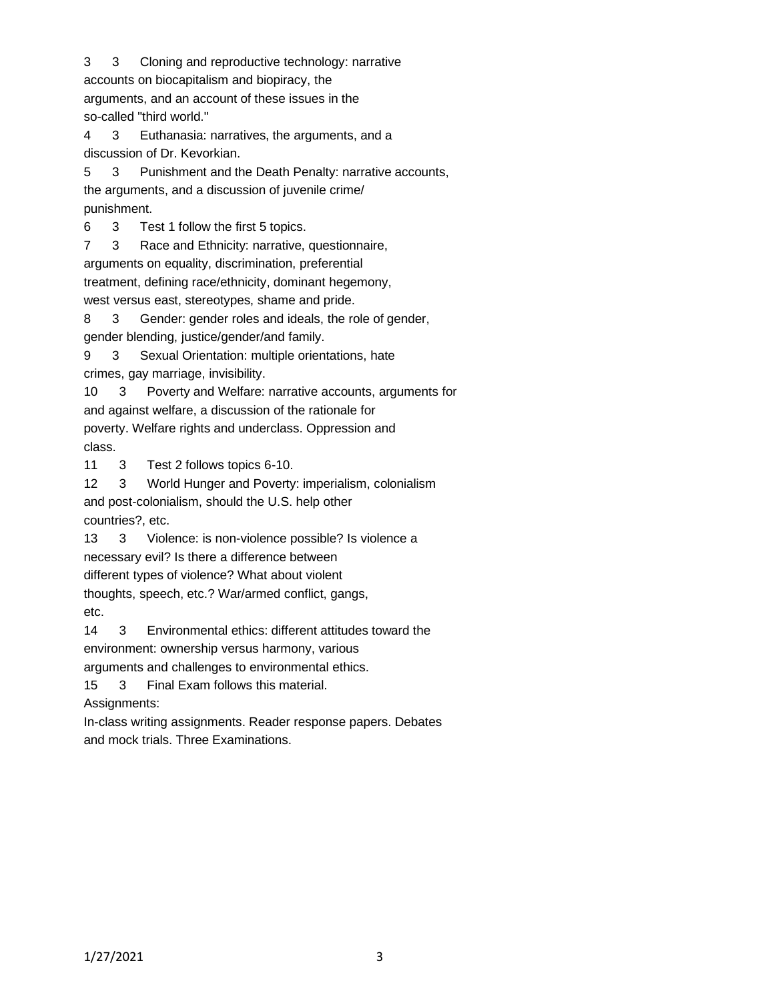3 3 Cloning and reproductive technology: narrative accounts on biocapitalism and biopiracy, the arguments, and an account of these issues in the so-called "third world."

4 3 Euthanasia: narratives, the arguments, and a discussion of Dr. Kevorkian.

5 3 Punishment and the Death Penalty: narrative accounts, the arguments, and a discussion of juvenile crime/ punishment.

6 3 Test 1 follow the first 5 topics.

7 3 Race and Ethnicity: narrative, questionnaire,

arguments on equality, discrimination, preferential

treatment, defining race/ethnicity, dominant hegemony,

west versus east, stereotypes, shame and pride.

8 3 Gender: gender roles and ideals, the role of gender, gender blending, justice/gender/and family.

9 3 Sexual Orientation: multiple orientations, hate crimes, gay marriage, invisibility.

10 3 Poverty and Welfare: narrative accounts, arguments for and against welfare, a discussion of the rationale for poverty. Welfare rights and underclass. Oppression and class.

11 3 Test 2 follows topics 6-10.

12 3 World Hunger and Poverty: imperialism, colonialism and post-colonialism, should the U.S. help other countries?, etc.

13 3 Violence: is non-violence possible? Is violence a

necessary evil? Is there a difference between

different types of violence? What about violent

thoughts, speech, etc.? War/armed conflict, gangs,

etc.

14 3 Environmental ethics: different attitudes toward the environment: ownership versus harmony, various

arguments and challenges to environmental ethics.

15 3 Final Exam follows this material.

Assignments:

In-class writing assignments. Reader response papers. Debates and mock trials. Three Examinations.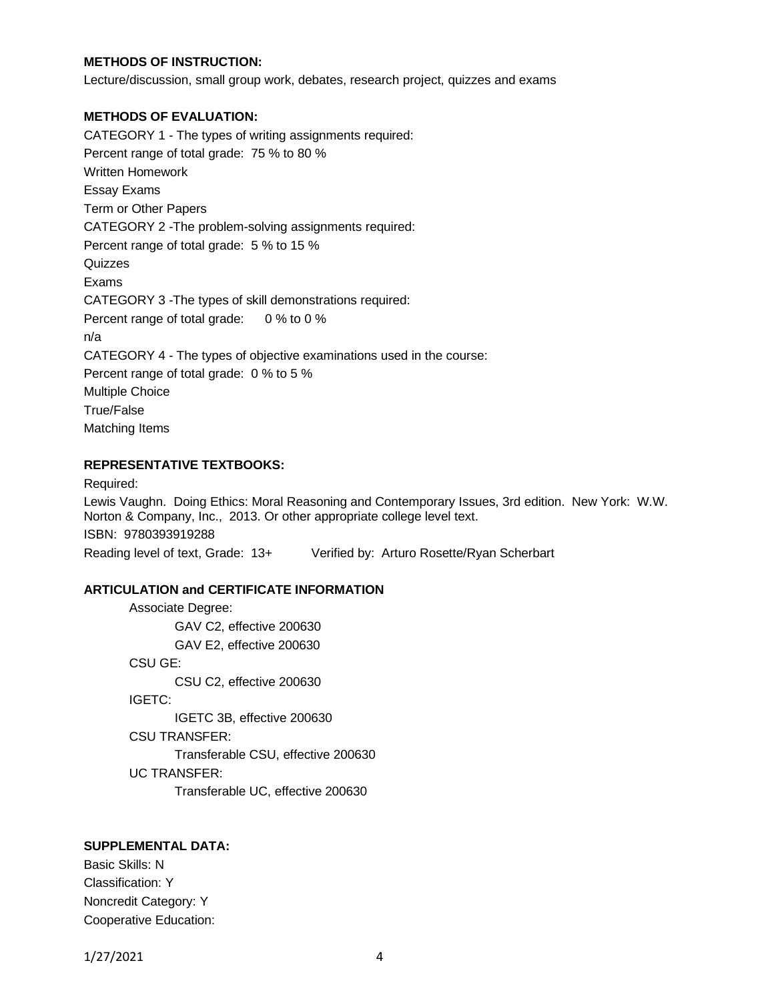## **METHODS OF INSTRUCTION:**

Lecture/discussion, small group work, debates, research project, quizzes and exams

#### **METHODS OF EVALUATION:**

CATEGORY 1 - The types of writing assignments required: Percent range of total grade: 75 % to 80 % Written Homework Essay Exams Term or Other Papers CATEGORY 2 -The problem-solving assignments required: Percent range of total grade: 5 % to 15 % **Quizzes** Exams CATEGORY 3 -The types of skill demonstrations required: Percent range of total grade: 0 % to 0 % n/a CATEGORY 4 - The types of objective examinations used in the course: Percent range of total grade: 0 % to 5 % Multiple Choice True/False Matching Items

### **REPRESENTATIVE TEXTBOOKS:**

Required:

Lewis Vaughn. Doing Ethics: Moral Reasoning and Contemporary Issues, 3rd edition. New York: W.W. Norton & Company, Inc., 2013. Or other appropriate college level text. ISBN: 9780393919288 Reading level of text, Grade: 13+ Verified by: Arturo Rosette/Ryan Scherbart

#### **ARTICULATION and CERTIFICATE INFORMATION**

```
Associate Degree:
       GAV C2, effective 200630
       GAV E2, effective 200630
CSU GE:
       CSU C2, effective 200630
IGETC:
       IGETC 3B, effective 200630
CSU TRANSFER:
       Transferable CSU, effective 200630
UC TRANSFER:
       Transferable UC, effective 200630
```
#### **SUPPLEMENTAL DATA:**

Basic Skills: N Classification: Y Noncredit Category: Y Cooperative Education: